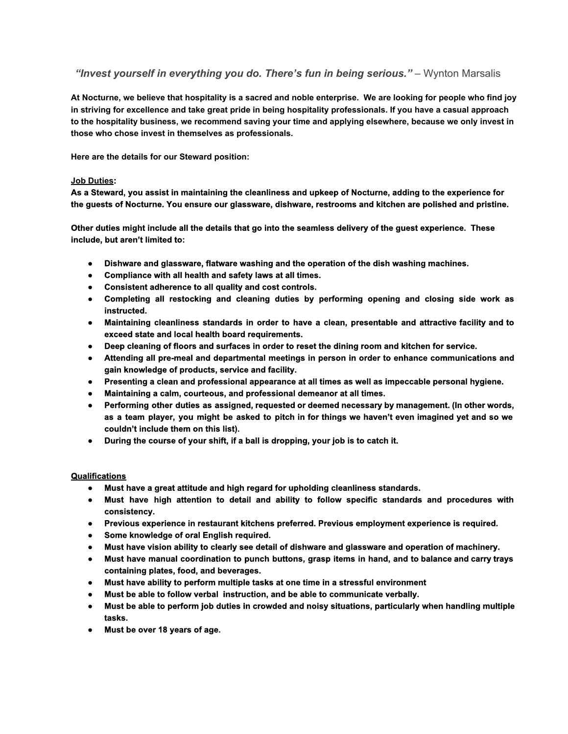*"Invest yourself in everything you do. There's fun in being serious."*– Wynton Marsalis

At Nocturne, we believe that hospitality is a sacred and noble enterprise. We are looking for people who find joy in striving for excellence and take great pride in being hospitality professionals. If you have a casual approach to the hospitality business, we recommend saving your time and applying elsewhere, because we only invest in **those who chose invest in themselves as professionals.**

**Here are the details for our Steward position:**

## **Job Duties:**

As a Steward, you assist in maintaining the cleanliness and upkeep of Nocturne, adding to the experience for **the guests of Nocturne. You ensure our glassware, dishware, restrooms and kitchen are polished and pristine.**

Other duties might include all the details that go into the seamless delivery of the guest experience. These **include, but aren't limited to:**

- **● Dishware and glassware, flatware washing and the operation of the dish washing machines.**
- **● Compliance with all health and safety laws at all times.**
- **● Consistent adherence to all quality and cost controls.**
- **● Completing all restocking and cleaning duties by performing opening and closing side work as instructed.**
- **● Maintaining cleanliness standards in order to have a clean, presentable and attractive facility and to exceed state and local health board requirements.**
- **● Deep cleaning of floors and surfaces in order to reset the dining room and kitchen for service.**
- **● Attending all premeal and departmental meetings in person in order to enhance communications and gain knowledge of products, service and facility.**
- **● Presenting a clean and professional appearance at all times as well as impeccable personal hygiene.**
- **● Maintaining a calm, courteous, and professional demeanor at all times.**
- **● Performing other duties as assigned, requested or deemed necessary by management. (In other words,** as a team player, you might be asked to pitch in for things we haven't even imagined yet and so we **couldn't include them on this list).**
- **● During the course of your shift, if a ball is dropping, your job is to catch it.**

## **Qualifications**

- **● Must have a great attitude and high regard for upholding cleanliness standards.**
- **● Must have high attention to detail and ability to follow specific standards and procedures with consistency.**
- **● Previous experience in restaurant kitchens preferred. Previous employment experience is required.**
- **● Some knowledge of oral English required.**
- **● Must have vision ability to clearly see detail of dishware and glassware and operation of machinery.**
- Must have manual coordination to punch buttons, grasp items in hand, and to balance and carry trays **containing plates, food, and beverages.**
- **● Must have ability to perform multiple tasks at one time in a stressful environment**
- **● Must be able to follow verbal instruction, and be able to communicate verbally.**
- **● Must be able to perform job duties in crowded and noisy situations, particularly when handling multiple tasks.**
- **● Must be over 18 years of age.**